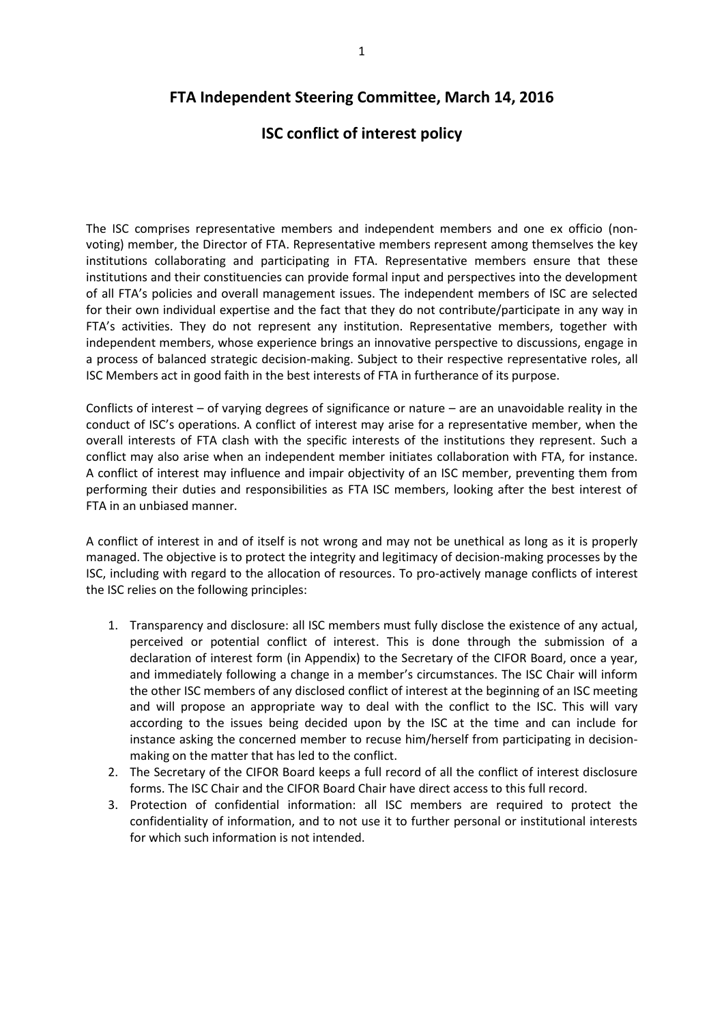## **FTA Independent Steering Committee, March 14, 2016**

## **ISC conflict of interest policy**

The ISC comprises representative members and independent members and one ex officio (nonvoting) member, the Director of FTA. Representative members represent among themselves the key institutions collaborating and participating in FTA. Representative members ensure that these institutions and their constituencies can provide formal input and perspectives into the development of all FTA's policies and overall management issues. The independent members of ISC are selected for their own individual expertise and the fact that they do not contribute/participate in any way in FTA's activities. They do not represent any institution. Representative members, together with independent members, whose experience brings an innovative perspective to discussions, engage in a process of balanced strategic decision-making. Subject to their respective representative roles, all ISC Members act in good faith in the best interests of FTA in furtherance of its purpose.

Conflicts of interest – of varying degrees of significance or nature – are an unavoidable reality in the conduct of ISC's operations. A conflict of interest may arise for a representative member, when the overall interests of FTA clash with the specific interests of the institutions they represent. Such a conflict may also arise when an independent member initiates collaboration with FTA, for instance. A conflict of interest may influence and impair objectivity of an ISC member, preventing them from performing their duties and responsibilities as FTA ISC members, looking after the best interest of FTA in an unbiased manner.

A conflict of interest in and of itself is not wrong and may not be unethical as long as it is properly managed. The objective is to protect the integrity and legitimacy of decision-making processes by the ISC, including with regard to the allocation of resources. To pro-actively manage conflicts of interest the ISC relies on the following principles:

- 1. Transparency and disclosure: all ISC members must fully disclose the existence of any actual, perceived or potential conflict of interest. This is done through the submission of a declaration of interest form (in Appendix) to the Secretary of the CIFOR Board, once a year, and immediately following a change in a member's circumstances. The ISC Chair will inform the other ISC members of any disclosed conflict of interest at the beginning of an ISC meeting and will propose an appropriate way to deal with the conflict to the ISC. This will vary according to the issues being decided upon by the ISC at the time and can include for instance asking the concerned member to recuse him/herself from participating in decisionmaking on the matter that has led to the conflict.
- 2. The Secretary of the CIFOR Board keeps a full record of all the conflict of interest disclosure forms. The ISC Chair and the CIFOR Board Chair have direct access to this full record.
- 3. Protection of confidential information: all ISC members are required to protect the confidentiality of information, and to not use it to further personal or institutional interests for which such information is not intended.